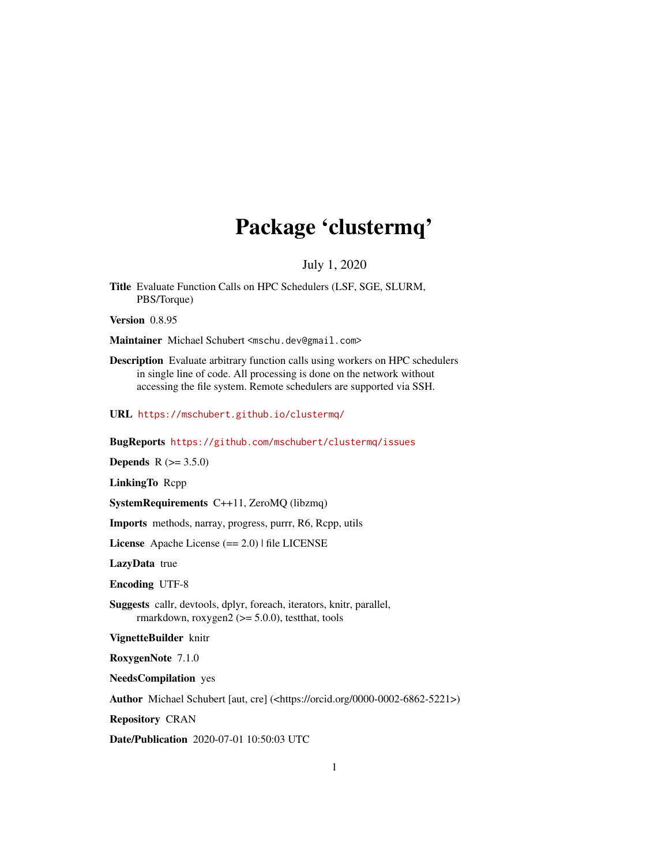# Package 'clustermq'

July 1, 2020

Title Evaluate Function Calls on HPC Schedulers (LSF, SGE, SLURM, PBS/Torque)

Version 0.8.95

Maintainer Michael Schubert <mschu.dev@gmail.com>

Description Evaluate arbitrary function calls using workers on HPC schedulers in single line of code. All processing is done on the network without accessing the file system. Remote schedulers are supported via SSH.

URL <https://mschubert.github.io/clustermq/>

BugReports <https://github.com/mschubert/clustermq/issues>

**Depends** R  $(>= 3.5.0)$ 

LinkingTo Rcpp

SystemRequirements C++11, ZeroMQ (libzmq)

Imports methods, narray, progress, purrr, R6, Rcpp, utils

License Apache License (== 2.0) | file LICENSE

LazyData true

Encoding UTF-8

Suggests callr, devtools, dplyr, foreach, iterators, knitr, parallel, rmarkdown, roxygen $2$  ( $>=$  5.0.0), test that, tools

VignetteBuilder knitr

RoxygenNote 7.1.0

NeedsCompilation yes

Author Michael Schubert [aut, cre] (<https://orcid.org/0000-0002-6862-5221>)

Repository CRAN

Date/Publication 2020-07-01 10:50:03 UTC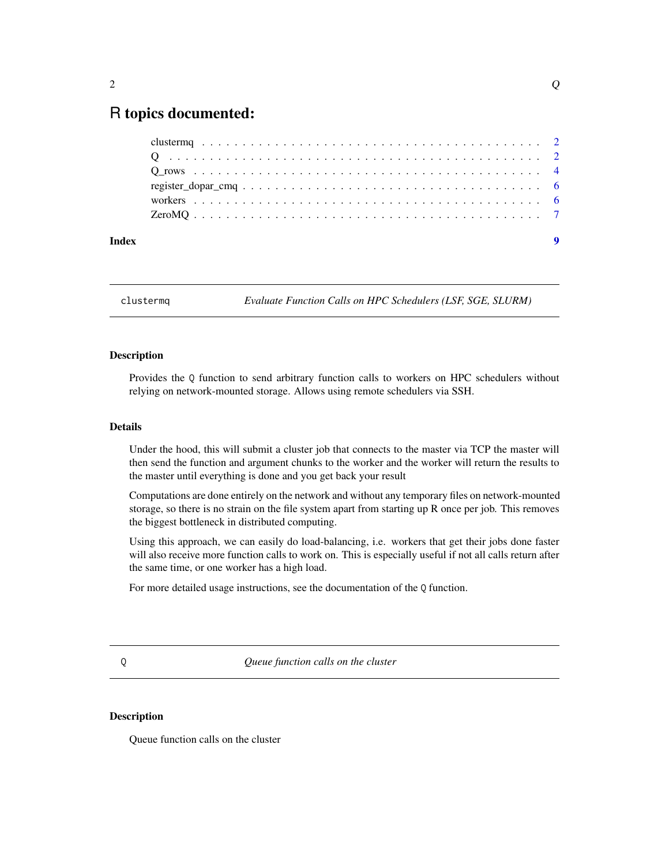# <span id="page-1-0"></span>R topics documented:

clustermq *Evaluate Function Calls on HPC Schedulers (LSF, SGE, SLURM)*

#### Description

Provides the Q function to send arbitrary function calls to workers on HPC schedulers without relying on network-mounted storage. Allows using remote schedulers via SSH.

#### Details

Under the hood, this will submit a cluster job that connects to the master via TCP the master will then send the function and argument chunks to the worker and the worker will return the results to the master until everything is done and you get back your result

Computations are done entirely on the network and without any temporary files on network-mounted storage, so there is no strain on the file system apart from starting up R once per job. This removes the biggest bottleneck in distributed computing.

Using this approach, we can easily do load-balancing, i.e. workers that get their jobs done faster will also receive more function calls to work on. This is especially useful if not all calls return after the same time, or one worker has a high load.

For more detailed usage instructions, see the documentation of the Q function.

Q *Queue function calls on the cluster*

#### Description

Queue function calls on the cluster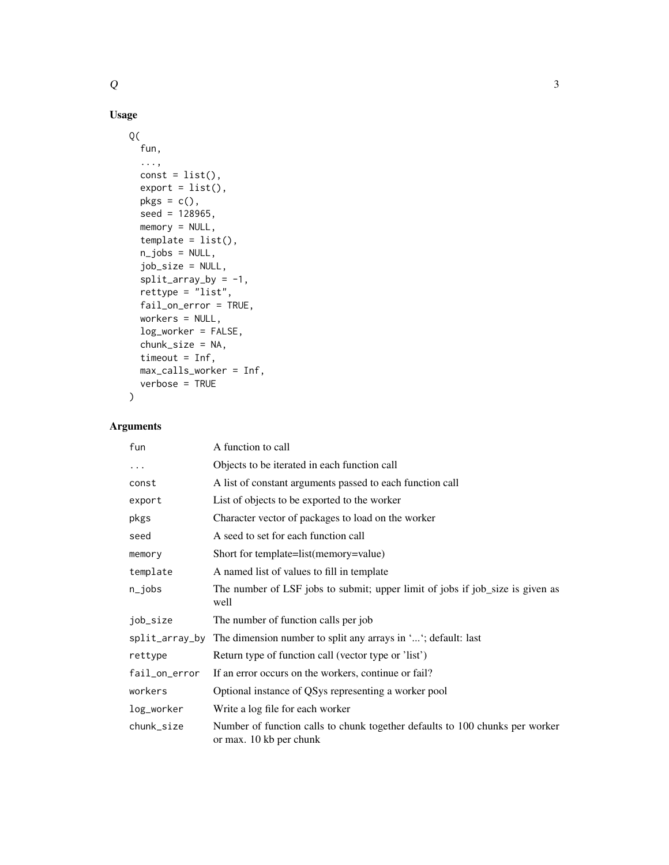# Usage

```
Q(
  fun,
  ...,
 const = list(),export = list(),pkgs = c(),
  seed = 128965,
 memory = NULL,
  template = list(),n_jobs = NULL,
  job_size = NULL,
  split\_array\_by = -1,rettype = "list",
  fail_on_error = TRUE,
 workers = NULL,
  log_worker = FALSE,
  chunk_size = NA,
  timeout = Inf,
 max_calls_worker = Inf,
  verbose = TRUE
\mathcal{L}
```
# Arguments

| fun            | A function to call                                                                                      |
|----------------|---------------------------------------------------------------------------------------------------------|
| $\cdots$       | Objects to be iterated in each function call                                                            |
| const          | A list of constant arguments passed to each function call                                               |
| export         | List of objects to be exported to the worker                                                            |
| pkgs           | Character vector of packages to load on the worker                                                      |
| seed           | A seed to set for each function call                                                                    |
| memory         | Short for template=list(memory=value)                                                                   |
| template       | A named list of values to fill in template                                                              |
| n_jobs         | The number of LSF jobs to submit; upper limit of jobs if job_size is given as<br>well                   |
| job_size       | The number of function calls per job                                                                    |
| split_array_by | The dimension number to split any arrays in ''; default: last                                           |
| rettype        | Return type of function call (vector type or 'list')                                                    |
| fail_on_error  | If an error occurs on the workers, continue or fail?                                                    |
| workers        | Optional instance of QSys representing a worker pool                                                    |
| log_worker     | Write a log file for each worker                                                                        |
| chunk_size     | Number of function calls to chunk together defaults to 100 chunks per worker<br>or max. 10 kb per chunk |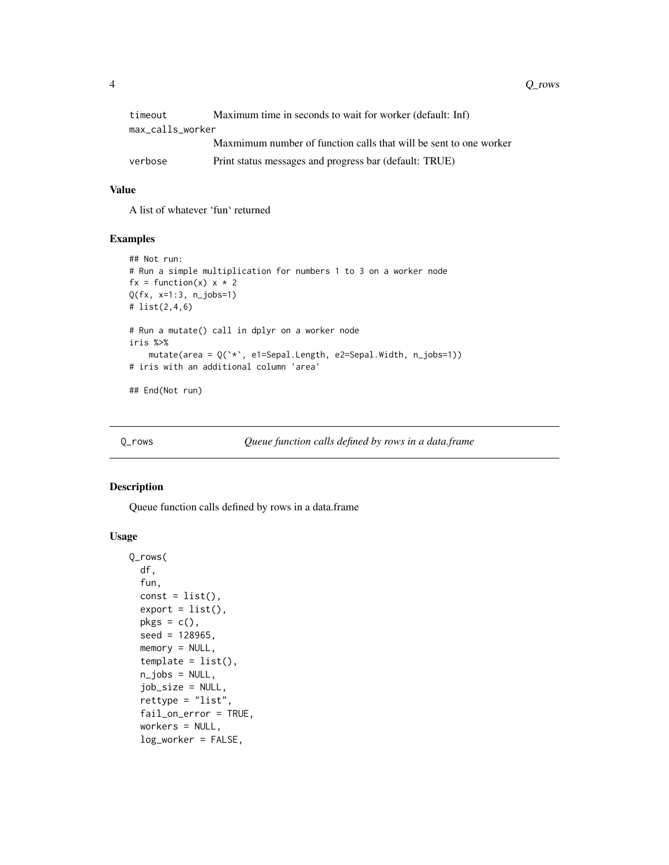<span id="page-3-0"></span>4 Q\_rows Q\_rows Q\_rows Q\_rows Q\_rows Q\_rows Q\_rows Q\_rows Q\_rows Q\_rows Q\_rows Q\_rows Q\_rows Q\_rows Q\_rows Q\_rows Q\_rows Q\_rows Q\_rows Q\_rows Q\_rows Q\_rows Q\_rows Q\_rows Q\_rows Q\_rows Q\_rows Q\_rows Q\_rows Q\_rows Q\_rows Q\_r

| timeout          | Maximum time in seconds to wait for worker (default: Inf)         |
|------------------|-------------------------------------------------------------------|
| max_calls_worker |                                                                   |
|                  | Maxmimum number of function calls that will be sent to one worker |
| verbose          | Print status messages and progress bar (default: TRUE)            |

#### Value

A list of whatever 'fun' returned

#### Examples

```
## Not run:
# Run a simple multiplication for numbers 1 to 3 on a worker node
fx = function(x) x * 2Q(fx, x=1:3, n_jobs=1)
# list(2,4,6)
# Run a mutate() call in dplyr on a worker node
iris %>%
    mutate(area = Q(`*`, e1=Sepal.Length, e2=Sepal.Width, n_jobs=1))
# iris with an additional column 'area'
## End(Not run)
```
Q\_rows *Queue function calls defined by rows in a data.frame*

#### Description

Queue function calls defined by rows in a data.frame

#### Usage

```
Q_rows(
  df,
  fun,
  const = list(),export = list(),pkgs = c(),
  seed = 128965,
 memory = NULL,template = list(),n_jobs = NULL,job_size = NULL,
  rettype = "list",
  fail_on_error = TRUE,
  workers = NULL,
  log_worker = FALSE,
```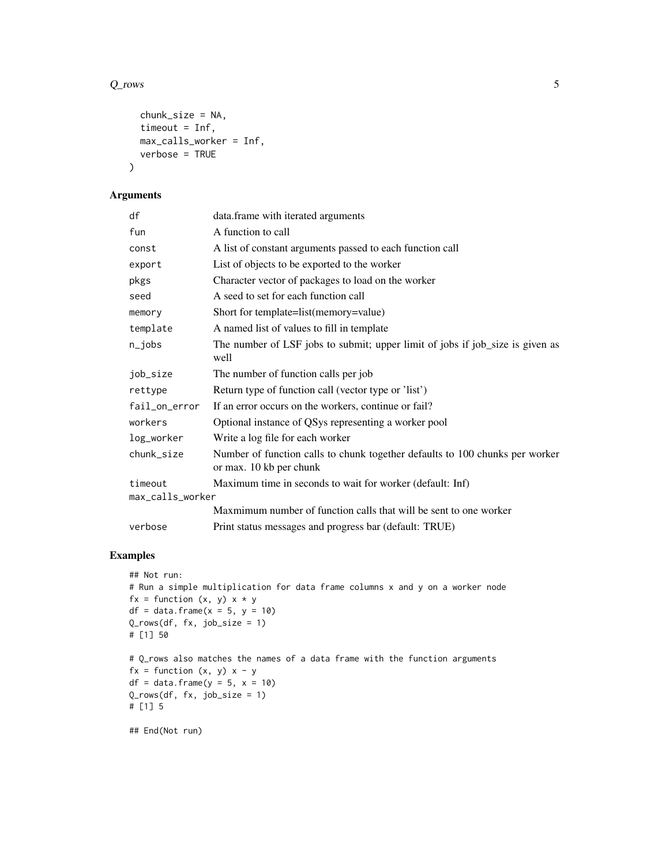#### $Q_{\text{rows}}$  5

```
chunk_size = NA,
 timeout = Inf,
 max_calls_worker = Inf,
 verbose = TRUE
\mathcal{L}
```
#### Arguments

| df               | data.frame with iterated arguments                                                                      |
|------------------|---------------------------------------------------------------------------------------------------------|
| fun              | A function to call                                                                                      |
| const            | A list of constant arguments passed to each function call                                               |
| export           | List of objects to be exported to the worker                                                            |
| pkgs             | Character vector of packages to load on the worker                                                      |
| seed             | A seed to set for each function call                                                                    |
| memory           | Short for template=list(memory=value)                                                                   |
| template         | A named list of values to fill in template                                                              |
| $n$ _jobs        | The number of LSF jobs to submit; upper limit of jobs if job_size is given as<br>well                   |
| job_size         | The number of function calls per job                                                                    |
| rettype          | Return type of function call (vector type or 'list')                                                    |
| fail_on_error    | If an error occurs on the workers, continue or fail?                                                    |
| workers          | Optional instance of QSys representing a worker pool                                                    |
| log_worker       | Write a log file for each worker                                                                        |
| chunk_size       | Number of function calls to chunk together defaults to 100 chunks per worker<br>or max. 10 kb per chunk |
| timeout          | Maximum time in seconds to wait for worker (default: Inf)                                               |
| max_calls_worker |                                                                                                         |
|                  | Maxmimum number of function calls that will be sent to one worker                                       |
| verbose          | Print status messages and progress bar (default: TRUE)                                                  |

### Examples

```
## Not run:
# Run a simple multiplication for data frame columns x and y on a worker node
fx = function (x, y) x * ydf = data.frame(x = 5, y = 10)Q_rows(df, fx, job_size = 1)
# [1] 50
# Q_rows also matches the names of a data frame with the function arguments
fx = function (x, y) x - ydf = data.frame(y = 5, x = 10)
Q_rows(df, fx, job_size = 1)
# [1] 5
```
## End(Not run)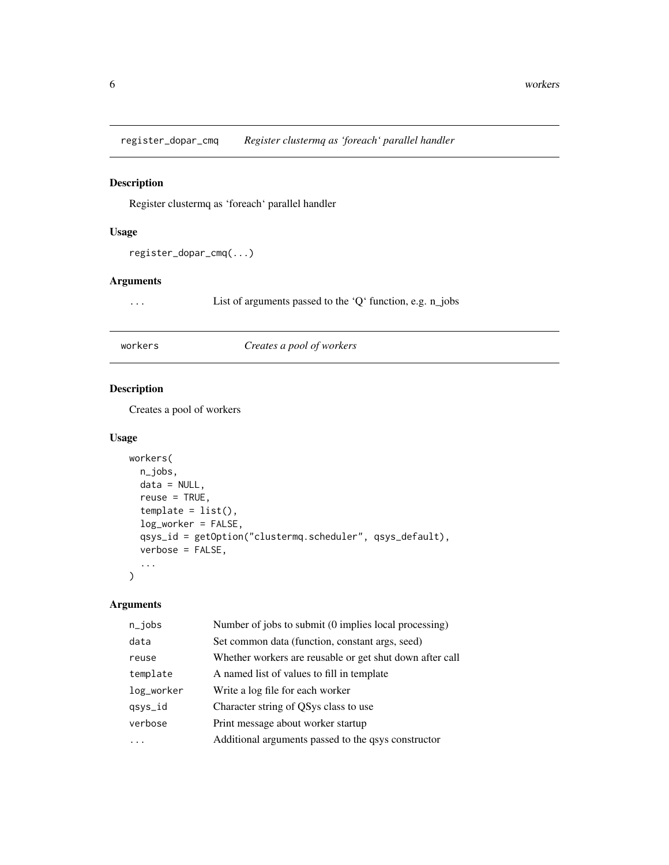<span id="page-5-0"></span>register\_dopar\_cmq *Register clustermq as 'foreach' parallel handler*

#### Description

Register clustermq as 'foreach' parallel handler

#### Usage

```
register_dopar_cmq(...)
```
#### Arguments

... List of arguments passed to the 'Q' function, e.g. n\_jobs

#### workers *Creates a pool of workers*

#### Description

Creates a pool of workers

#### Usage

```
workers(
 n_jobs,
 data = NULL,
 reuse = TRUE,template = list(),log_worker = FALSE,
 qsys_id = getOption("clustermq.scheduler", qsys_default),
 verbose = FALSE,
  ...
)
```
#### Arguments

| $n$ _jobs  | Number of jobs to submit (0 implies local processing)    |
|------------|----------------------------------------------------------|
| data       | Set common data (function, constant args, seed)          |
| reuse      | Whether workers are reusable or get shut down after call |
| template   | A named list of values to fill in template               |
| log_worker | Write a log file for each worker                         |
| qsys_id    | Character string of QSys class to use                    |
| verbose    | Print message about worker startup                       |
|            | Additional arguments passed to the qsys constructor      |
|            |                                                          |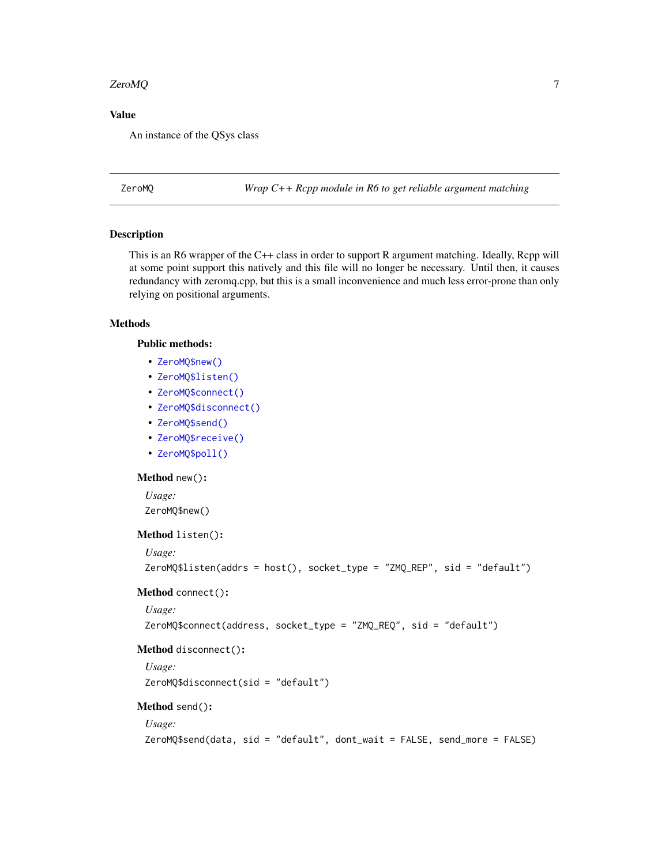#### <span id="page-6-0"></span>ZeroMQ 7

#### Value

An instance of the QSys class

ZeroMQ *Wrap C++ Rcpp module in R6 to get reliable argument matching*

#### Description

This is an R6 wrapper of the C++ class in order to support R argument matching. Ideally, Rcpp will at some point support this natively and this file will no longer be necessary. Until then, it causes redundancy with zeromq.cpp, but this is a small inconvenience and much less error-prone than only relying on positional arguments.

#### **Methods**

#### Public methods:

- [ZeroMQ\\$new\(\)](#page-6-1)
- [ZeroMQ\\$listen\(\)](#page-6-2)
- [ZeroMQ\\$connect\(\)](#page-6-3)
- [ZeroMQ\\$disconnect\(\)](#page-6-4)
- [ZeroMQ\\$send\(\)](#page-6-5)
- [ZeroMQ\\$receive\(\)](#page-6-6)
- [ZeroMQ\\$poll\(\)](#page-7-0)

#### <span id="page-6-1"></span>Method new():

*Usage:* ZeroMQ\$new()

<span id="page-6-2"></span>Method listen():

*Usage:*

```
ZeroMQ$listen(addrs = host(), socket_type = "ZMQ_REP", sid = "default")
```
#### <span id="page-6-3"></span>Method connect():

*Usage:*

ZeroMQ\$connect(address, socket\_type = "ZMQ\_REQ", sid = "default")

#### <span id="page-6-4"></span>Method disconnect():

*Usage:* ZeroMQ\$disconnect(sid = "default")

#### <span id="page-6-5"></span>Method send():

#### *Usage:*

<span id="page-6-6"></span>ZeroMQ\$send(data, sid = "default", dont\_wait = FALSE, send\_more = FALSE)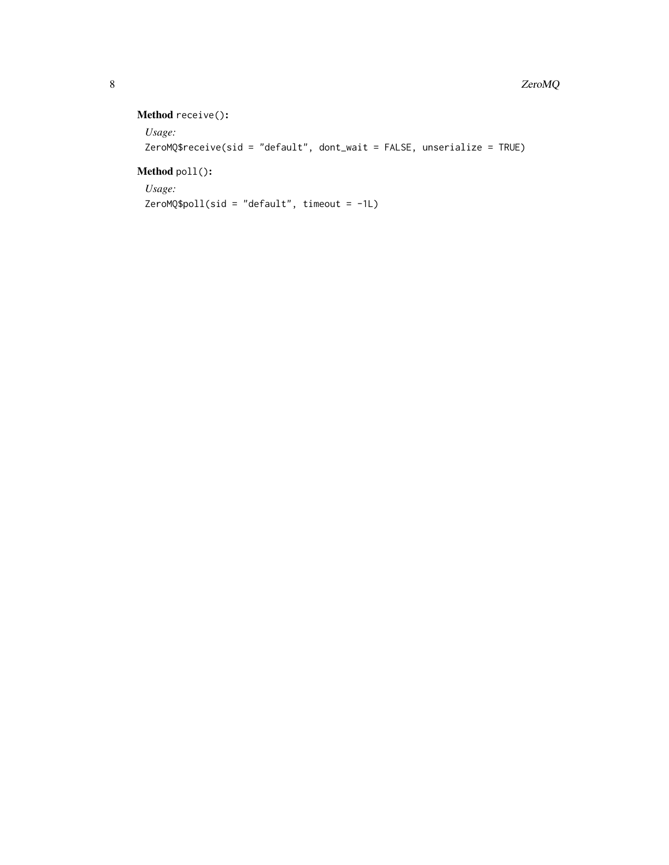# Method receive():

```
Usage:
ZeroMQ$receive(sid = "default", dont_wait = FALSE, unserialize = TRUE)
```
## <span id="page-7-0"></span>Method poll():

*Usage:*  $ZeroMQ$poll(side = "default", timeout = -1L)$